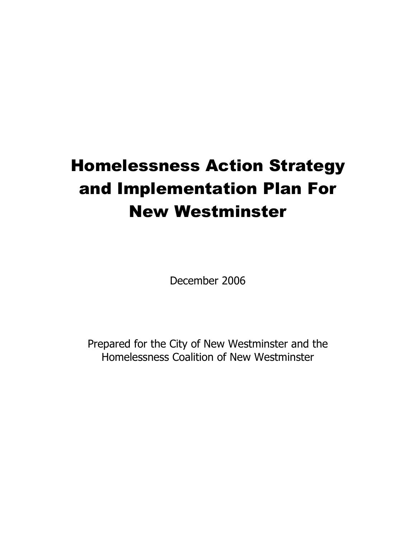# Homelessness Action Strategy and Implementation Plan For New Westminster

December 2006

Prepared for the City of New Westminster and the Homelessness Coalition of New Westminster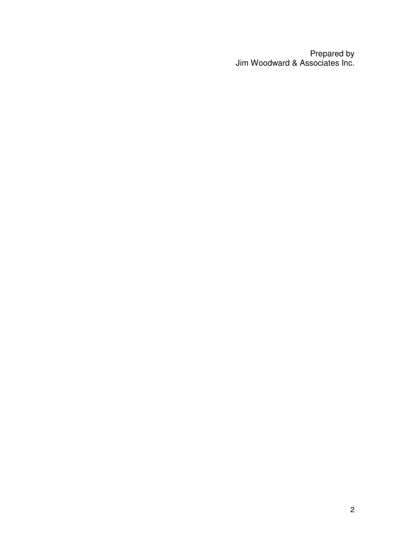Prepared by Jim Woodward & Associates Inc.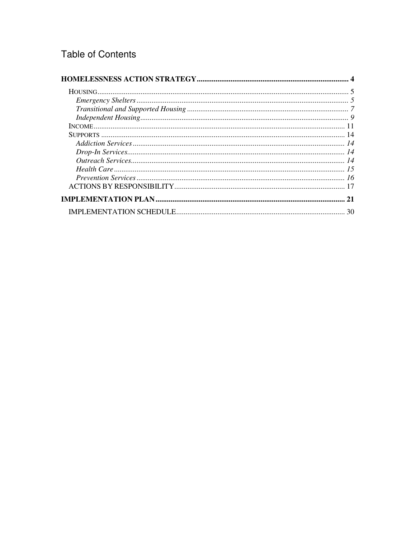# **Table of Contents**

| $\label{lem:main} \begin{minipage}[c]{0.9\linewidth} \emph{Energy Shelters} \normalsize \begin{minipage}[c]{0.9\linewidth} \normalsize \begin{minipage}[c]{0.9\linewidth} \normalsize \begin{minipage}[c]{0.9\linewidth} \normalsize \begin{minipage}[c]{0.9\linewidth} \normalsize \begin{minipage}[c]{0.9\linewidth} \normalsize \begin{minipage}[c]{0.9\linewidth} \normalsize \begin{minipage}[c]{0.9\linewidth} \normalsize \begin{minipage}[c]{0.9\linewidth} \normalsize \begin{minipage}[c]{0.9\linewidth} \normalsize \begin{minipage}[c]{0.9\linewidth$ |    |
|-------------------------------------------------------------------------------------------------------------------------------------------------------------------------------------------------------------------------------------------------------------------------------------------------------------------------------------------------------------------------------------------------------------------------------------------------------------------------------------------------------------------------------------------------------------------|----|
|                                                                                                                                                                                                                                                                                                                                                                                                                                                                                                                                                                   |    |
|                                                                                                                                                                                                                                                                                                                                                                                                                                                                                                                                                                   |    |
|                                                                                                                                                                                                                                                                                                                                                                                                                                                                                                                                                                   |    |
|                                                                                                                                                                                                                                                                                                                                                                                                                                                                                                                                                                   |    |
|                                                                                                                                                                                                                                                                                                                                                                                                                                                                                                                                                                   |    |
|                                                                                                                                                                                                                                                                                                                                                                                                                                                                                                                                                                   |    |
|                                                                                                                                                                                                                                                                                                                                                                                                                                                                                                                                                                   |    |
|                                                                                                                                                                                                                                                                                                                                                                                                                                                                                                                                                                   |    |
|                                                                                                                                                                                                                                                                                                                                                                                                                                                                                                                                                                   |    |
|                                                                                                                                                                                                                                                                                                                                                                                                                                                                                                                                                                   |    |
|                                                                                                                                                                                                                                                                                                                                                                                                                                                                                                                                                                   | 21 |
|                                                                                                                                                                                                                                                                                                                                                                                                                                                                                                                                                                   | 30 |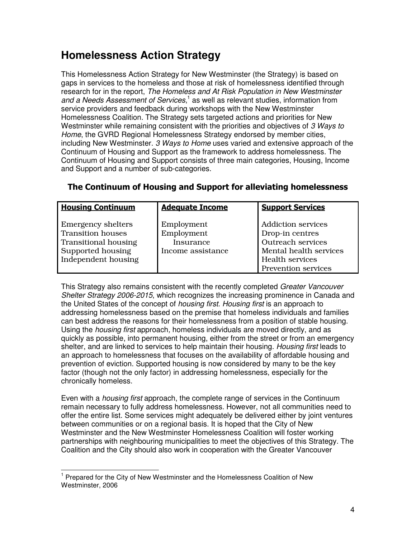# **Homelessness Action Strategy**

This Homelessness Action Strategy for New Westminster (the Strategy) is based on gaps in services to the homeless and those at risk of homelessness identified through research for in the report, The Homeless and At Risk Population in New Westminster and a Needs Assessment of Services,<sup>1</sup> as well as relevant studies, information from service providers and feedback during workshops with the New Westminster Homelessness Coalition. The Strategy sets targeted actions and priorities for New Westminster while remaining consistent with the priorities and objectives of 3 Ways to Home, the GVRD Regional Homelessness Strategy endorsed by member cities, including New Westminster. 3 Ways to Home uses varied and extensive approach of the Continuum of Housing and Support as the framework to address homelessness. The Continuum of Housing and Support consists of three main categories, Housing, Income and Support and a number of sub-categories.

| <b>Housing Continuum</b>                                                                                                         | <b>Adequate Income</b>                                     | <b>Support Services</b>                                                                                                                             |
|----------------------------------------------------------------------------------------------------------------------------------|------------------------------------------------------------|-----------------------------------------------------------------------------------------------------------------------------------------------------|
| <b>Emergency shelters</b><br><b>Transition houses</b><br><b>Transitional housing</b><br>Supported housing<br>Independent housing | Employment<br>Employment<br>Insurance<br>Income assistance | <b>Addiction services</b><br>Drop-in centres<br><b>Outreach services</b><br>Mental health services<br><b>Health services</b><br>Prevention services |

#### The Continuum of Housing and Support for alleviating homelessness

This Strategy also remains consistent with the recently completed Greater Vancouver Shelter Strategy 2006-2015, which recognizes the increasing prominence in Canada and the United States of the concept of *housing first. Housing first* is an approach to addressing homelessness based on the premise that homeless individuals and families can best address the reasons for their homelessness from a position of stable housing. Using the *housing first* approach, homeless individuals are moved directly, and as quickly as possible, into permanent housing, either from the street or from an emergency shelter, and are linked to services to help maintain their housing. Housing first leads to an approach to homelessness that focuses on the availability of affordable housing and prevention of eviction. Supported housing is now considered by many to be the key factor (though not the only factor) in addressing homelessness, especially for the chronically homeless.

Even with a housing first approach, the complete range of services in the Continuum remain necessary to fully address homelessness. However, not all communities need to offer the entire list. Some services might adequately be delivered either by joint ventures between communities or on a regional basis. It is hoped that the City of New Westminster and the New Westminster Homelessness Coalition will foster working partnerships with neighbouring municipalities to meet the objectives of this Strategy. The Coalition and the City should also work in cooperation with the Greater Vancouver

j <sup>1</sup> Prepared for the City of New Westminster and the Homelessness Coalition of New Westminster, 2006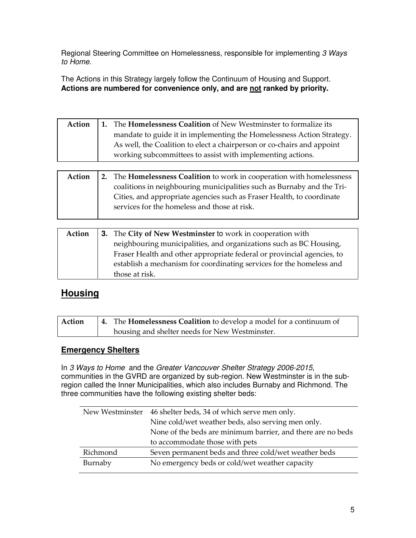Regional Steering Committee on Homelessness, responsible for implementing 3 Ways to Home.

The Actions in this Strategy largely follow the Continuum of Housing and Support. **Actions are numbered for convenience only, and are not ranked by priority.** 

| Action | 1. The Homelessness Coalition of New Westminster to formalize its      |
|--------|------------------------------------------------------------------------|
|        | mandate to guide it in implementing the Homelessness Action Strategy.  |
|        | As well, the Coalition to elect a chairperson or co-chairs and appoint |
|        | working subcommittees to assist with implementing actions.             |

| Action | 2. The <b>Homelessness Coalition</b> to work in cooperation with homelessness |
|--------|-------------------------------------------------------------------------------|
|        | coalitions in neighbouring municipalities such as Burnaby and the Tri-        |
|        | Cities, and appropriate agencies such as Fraser Health, to coordinate         |
|        | services for the homeless and those at risk.                                  |
|        |                                                                               |

| Action | 3. The City of New Westminster to work in cooperation with             |
|--------|------------------------------------------------------------------------|
|        | neighbouring municipalities, and organizations such as BC Housing,     |
|        | Fraser Health and other appropriate federal or provincial agencies, to |
|        | establish a mechanism for coordinating services for the homeless and   |
|        | those at risk.                                                         |

### **Housing**

| Action | 4. The <b>Homelessness Coalition</b> to develop a model for a continuum of |
|--------|----------------------------------------------------------------------------|
|        | housing and shelter needs for New Westminster.                             |

#### **Emergency Shelters**

In 3 Ways to Home and the Greater Vancouver Shelter Strategy 2006-2015, communities in the GVRD are organized by sub-region. New Westminster is in the subregion called the Inner Municipalities, which also includes Burnaby and Richmond. The three communities have the following existing shelter beds:

|          | New Westminster 46 shelter beds, 34 of which serve men only. |
|----------|--------------------------------------------------------------|
|          | Nine cold/wet weather beds, also serving men only.           |
|          | None of the beds are minimum barrier, and there are no beds  |
|          | to accommodate those with pets                               |
| Richmond | Seven permanent beds and three cold/wet weather beds         |
| Burnaby  | No emergency beds or cold/wet weather capacity               |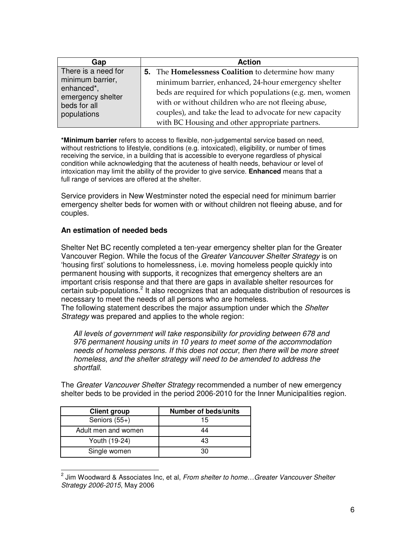| Gap                                                                 | <b>Action</b>                                                     |
|---------------------------------------------------------------------|-------------------------------------------------------------------|
| There is a need for                                                 | <b>5.</b> The <b>Homelessness Coalition</b> to determine how many |
| minimum barrier,<br>enhanced*,<br>emergency shelter<br>beds for all | minimum barrier, enhanced, 24-hour emergency shelter              |
|                                                                     | beds are required for which populations (e.g. men, women          |
|                                                                     | with or without children who are not fleeing abuse,               |
| populations                                                         | couples), and take the lead to advocate for new capacity          |
|                                                                     | with BC Housing and other appropriate partners.                   |

**\*Minimum barrier** refers to access to flexible, non-judgemental service based on need, without restrictions to lifestyle, conditions (e.g. intoxicated), eligibility, or number of times receiving the service, in a building that is accessible to everyone regardless of physical condition while acknowledging that the acuteness of health needs, behaviour or level of intoxication may limit the ability of the provider to give service. **Enhanced** means that a full range of services are offered at the shelter.

Service providers in New Westminster noted the especial need for minimum barrier emergency shelter beds for women with or without children not fleeing abuse, and for couples.

#### **An estimation of needed beds**

Shelter Net BC recently completed a ten-year emergency shelter plan for the Greater Vancouver Region. While the focus of the Greater Vancouver Shelter Strategy is on 'housing first' solutions to homelessness, i.e. moving homeless people quickly into permanent housing with supports, it recognizes that emergency shelters are an important crisis response and that there are gaps in available shelter resources for certain sub-populations.<sup>2</sup> It also recognizes that an adequate distribution of resources is necessary to meet the needs of all persons who are homeless.

The following statement describes the major assumption under which the Shelter Strategy was prepared and applies to the whole region:

All levels of government will take responsibility for providing between 678 and 976 permanent housing units in 10 years to meet some of the accommodation needs of homeless persons. If this does not occur, then there will be more street homeless, and the shelter strategy will need to be amended to address the shortfall.

The *Greater Vancouver Shelter Strategy* recommended a number of new emergency shelter beds to be provided in the period 2006-2010 for the Inner Municipalities region.

| <b>Client group</b> | <b>Number of beds/units</b> |
|---------------------|-----------------------------|
| Seniors $(55+)$     | 15                          |
| Adult men and women | 44                          |
| Youth (19-24)       | 43                          |
| Single women        | 30.                         |

 2 Jim Woodward & Associates Inc, et al, From shelter to home…Greater Vancouver Shelter Strategy 2006-2015, May 2006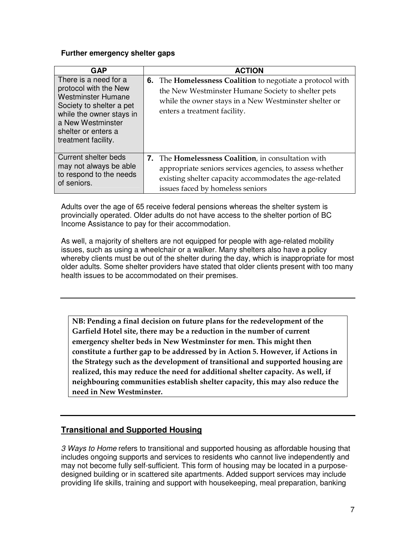#### **Further emergency shelter gaps**

| <b>GAP</b>                                                                                                                                                                                             | <b>ACTION</b>                                                                                                                                                                                                           |
|--------------------------------------------------------------------------------------------------------------------------------------------------------------------------------------------------------|-------------------------------------------------------------------------------------------------------------------------------------------------------------------------------------------------------------------------|
| There is a need for a<br>protocol with the New<br><b>Westminster Humane</b><br>Society to shelter a pet<br>while the owner stays in<br>a New Westminster<br>shelter or enters a<br>treatment facility. | <b>6.</b> The <b>Homelessness Coalition</b> to negotiate a protocol with<br>the New Westminster Humane Society to shelter pets<br>while the owner stays in a New Westminster shelter or<br>enters a treatment facility. |
| Current shelter beds<br>may not always be able<br>to respond to the needs<br>of seniors.                                                                                                               | 7. The Homelessness Coalition, in consultation with<br>appropriate seniors services agencies, to assess whether<br>existing shelter capacity accommodates the age-related<br>issues faced by homeless seniors           |

Adults over the age of 65 receive federal pensions whereas the shelter system is provincially operated. Older adults do not have access to the shelter portion of BC Income Assistance to pay for their accommodation.

As well, a majority of shelters are not equipped for people with age-related mobility issues, such as using a wheelchair or a walker. Many shelters also have a policy whereby clients must be out of the shelter during the day, which is inappropriate for most older adults. Some shelter providers have stated that older clients present with too many health issues to be accommodated on their premises.

NB: Pending a final decision on future plans for the redevelopment of the Garfield Hotel site, there may be a reduction in the number of current emergency shelter beds in New Westminster for men. This might then constitute a further gap to be addressed by in Action 5. However, if Actions in the Strategy such as the development of transitional and supported housing are realized, this may reduce the need for additional shelter capacity. As well, if neighbouring communities establish shelter capacity, this may also reduce the need in New Westminster.

#### **Transitional and Supported Housing**

3 Ways to Home refers to transitional and supported housing as affordable housing that includes ongoing supports and services to residents who cannot live independently and may not become fully self-sufficient. This form of housing may be located in a purposedesigned building or in scattered site apartments. Added support services may include providing life skills, training and support with housekeeping, meal preparation, banking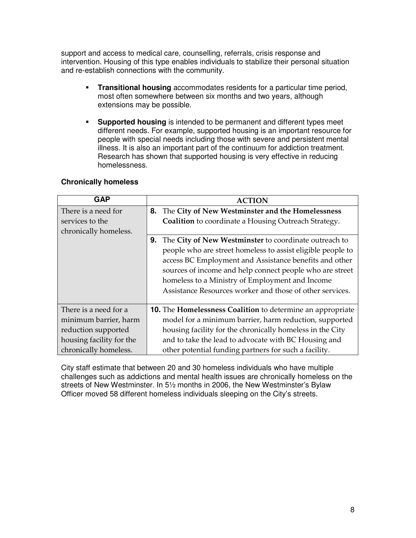support and access to medical care, counselling, referrals, crisis response and intervention. Housing of this type enables individuals to stabilize their personal situation and re-establish connections with the community.

- **Transitional housing** accommodates residents for a particular time period, most often somewhere between six months and two years, although extensions may be possible.
- **Supported housing** is intended to be permanent and different types meet different needs. For example, supported housing is an important resource for people with special needs including those with severe and persistent mental illness. It is also an important part of the continuum for addiction treatment. Research has shown that supported housing is very effective in reducing homelessness.

#### **Chronically homeless**

| <b>GAP</b>                                                      | <b>ACTION</b>                                                                                                                                                                                                                                                                                                                                                   |
|-----------------------------------------------------------------|-----------------------------------------------------------------------------------------------------------------------------------------------------------------------------------------------------------------------------------------------------------------------------------------------------------------------------------------------------------------|
| There is a need for<br>services to the<br>chronically homeless. | 8. The City of New Westminster and the Homelessness<br>Coalition to coordinate a Housing Outreach Strategy.                                                                                                                                                                                                                                                     |
|                                                                 | The City of New Westminster to coordinate outreach to<br>9.<br>people who are street homeless to assist eligible people to<br>access BC Employment and Assistance benefits and other<br>sources of income and help connect people who are street<br>homeless to a Ministry of Employment and Income<br>Assistance Resources worker and those of other services. |
| There is a need for a                                           | <b>10.</b> The <b>Homelessness Coalition</b> to determine an appropriate                                                                                                                                                                                                                                                                                        |
| minimum barrier, harm                                           | model for a minimum barrier, harm reduction, supported                                                                                                                                                                                                                                                                                                          |
| reduction supported                                             | housing facility for the chronically homeless in the City                                                                                                                                                                                                                                                                                                       |
| housing facility for the                                        | and to take the lead to advocate with BC Housing and                                                                                                                                                                                                                                                                                                            |
| chronically homeless.                                           | other potential funding partners for such a facility.                                                                                                                                                                                                                                                                                                           |

City staff estimate that between 20 and 30 homeless individuals who have multiple challenges such as addictions and mental health issues are chronically homeless on the streets of New Westminster. In 5½ months in 2006, the New Westminster's Bylaw Officer moved 58 different homeless individuals sleeping on the City's streets.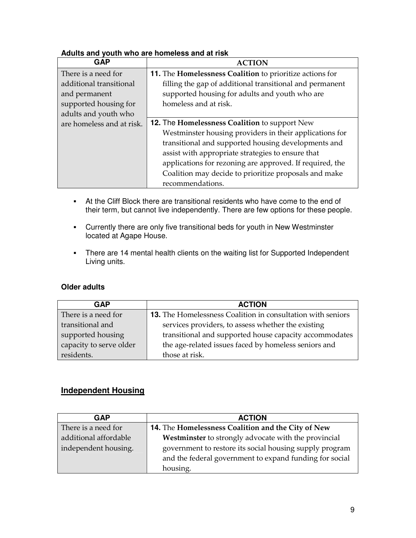#### **Adults and youth who are homeless and at risk**

| <b>GAP</b>                | <b>ACTION</b>                                            |
|---------------------------|----------------------------------------------------------|
| There is a need for       | 11. The Homelessness Coalition to prioritize actions for |
| additional transitional   | filling the gap of additional transitional and permanent |
| and permanent             | supported housing for adults and youth who are           |
| supported housing for     | homeless and at risk.                                    |
| adults and youth who      |                                                          |
| are homeless and at risk. | 12. The Homelessness Coalition to support New            |
|                           | Westminster housing providers in their applications for  |
|                           | transitional and supported housing developments and      |
|                           | assist with appropriate strategies to ensure that        |
|                           | applications for rezoning are approved. If required, the |
|                           | Coalition may decide to prioritize proposals and make    |
|                           | recommendations.                                         |

- At the Cliff Block there are transitional residents who have come to the end of their term, but cannot live independently. There are few options for these people.
- Currently there are only five transitional beds for youth in New Westminster located at Agape House.
- There are 14 mental health clients on the waiting list for Supported Independent Living units.

#### **Older adults**

| GAP                     | <b>ACTION</b>                                               |
|-------------------------|-------------------------------------------------------------|
| There is a need for     | 13. The Homelessness Coalition in consultation with seniors |
| transitional and        | services providers, to assess whether the existing          |
| supported housing       | transitional and supported house capacity accommodates      |
| capacity to serve older | the age-related issues faced by homeless seniors and        |
| residents.              | those at risk.                                              |

#### **Independent Housing**

| <b>GAP</b>            | <b>ACTION</b>                                                                                                      |
|-----------------------|--------------------------------------------------------------------------------------------------------------------|
| There is a need for   | 14. The Homelessness Coalition and the City of New                                                                 |
| additional affordable | Westminster to strongly advocate with the provincial                                                               |
| independent housing.  | government to restore its social housing supply program<br>and the federal government to expand funding for social |
|                       | housing.                                                                                                           |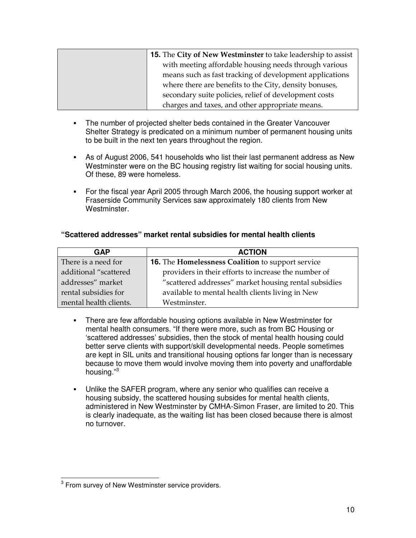| <b>15.</b> The City of New Westminster to take leadership to assist |
|---------------------------------------------------------------------|
| with meeting affordable housing needs through various               |
| means such as fast tracking of development applications             |
| where there are benefits to the City, density bonuses,              |
| secondary suite policies, relief of development costs               |
| charges and taxes, and other appropriate means.                     |

- The number of projected shelter beds contained in the Greater Vancouver Shelter Strategy is predicated on a minimum number of permanent housing units to be built in the next ten years throughout the region.
- As of August 2006, 541 households who list their last permanent address as New Westminster were on the BC housing registry list waiting for social housing units. Of these, 89 were homeless.
- For the fiscal year April 2005 through March 2006, the housing support worker at Fraserside Community Services saw approximately 180 clients from New Westminster.

#### **"Scattered addresses" market rental subsidies for mental health clients**

| GAP                    | <b>ACTION</b>                                         |
|------------------------|-------------------------------------------------------|
| There is a need for    | 16. The Homelessness Coalition to support service     |
| additional "scattered  | providers in their efforts to increase the number of  |
| addresses" market      | "scattered addresses" market housing rental subsidies |
| rental subsidies for   | available to mental health clients living in New      |
| mental health clients. | Westminster.                                          |

- There are few affordable housing options available in New Westminster for mental health consumers. "If there were more, such as from BC Housing or 'scattered addresses' subsidies, then the stock of mental health housing could better serve clients with support/skill developmental needs. People sometimes are kept in SIL units and transitional housing options far longer than is necessary because to move them would involve moving them into poverty and unaffordable housing."<sup>3</sup>
- Unlike the SAFER program, where any senior who qualifies can receive a housing subsidy, the scattered housing subsides for mental health clients, administered in New Westminster by CMHA-Simon Fraser, are limited to 20. This is clearly inadequate, as the waiting list has been closed because there is almost no turnover.

 3 From survey of New Westminster service providers.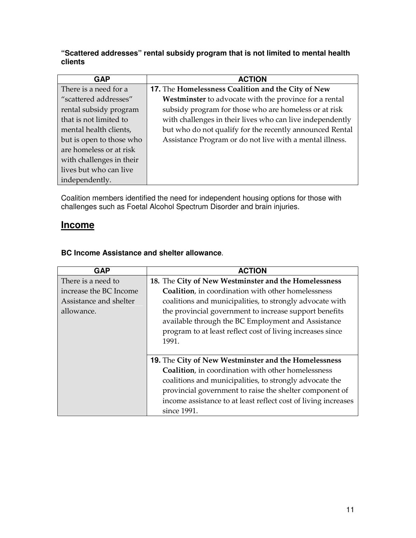#### **"Scattered addresses" rental subsidy program that is not limited to mental health clients**

| <b>GAP</b>               | <b>ACTION</b>                                             |
|--------------------------|-----------------------------------------------------------|
| There is a need for a    | 17. The Homelessness Coalition and the City of New        |
| "scattered addresses"    | Westminster to advocate with the province for a rental    |
| rental subsidy program   | subsidy program for those who are homeless or at risk     |
| that is not limited to   | with challenges in their lives who can live independently |
| mental health clients,   | but who do not qualify for the recently announced Rental  |
| but is open to those who | Assistance Program or do not live with a mental illness.  |
| are homeless or at risk  |                                                           |
| with challenges in their |                                                           |
| lives but who can live   |                                                           |
| independently.           |                                                           |

Coalition members identified the need for independent housing options for those with challenges such as Foetal Alcohol Spectrum Disorder and brain injuries.

#### **Income**

#### **BC Income Assistance and shelter allowance**.

| <b>GAP</b>             | <b>ACTION</b>                                                  |
|------------------------|----------------------------------------------------------------|
| There is a need to     | 18. The City of New Westminster and the Homelessness           |
| increase the BC Income | <b>Coalition</b> , in coordination with other homelessness     |
| Assistance and shelter | coalitions and municipalities, to strongly advocate with       |
| allowance.             | the provincial government to increase support benefits         |
|                        | available through the BC Employment and Assistance             |
|                        | program to at least reflect cost of living increases since     |
|                        | 1991.                                                          |
|                        |                                                                |
|                        | 19. The City of New Westminster and the Homelessness           |
|                        | <b>Coalition</b> , in coordination with other homelessness     |
|                        | coalitions and municipalities, to strongly advocate the        |
|                        | provincial government to raise the shelter component of        |
|                        | income assistance to at least reflect cost of living increases |
|                        | since 1991.                                                    |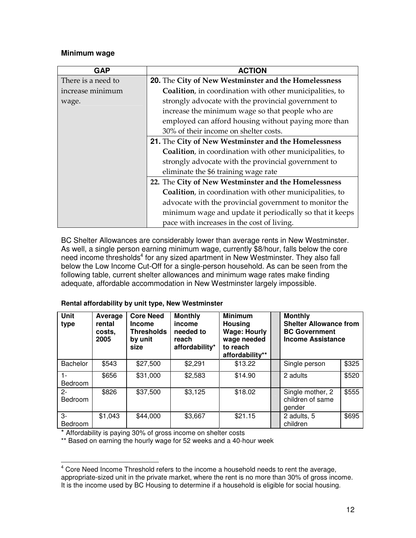#### **Minimum wage**

| <b>GAP</b>         | <b>ACTION</b>                                                    |
|--------------------|------------------------------------------------------------------|
| There is a need to | 20. The City of New Westminster and the Homelessness             |
| increase minimum   | <b>Coalition</b> , in coordination with other municipalities, to |
| wage.              | strongly advocate with the provincial government to              |
|                    | increase the minimum wage so that people who are                 |
|                    | employed can afford housing without paying more than             |
|                    | 30% of their income on shelter costs.                            |
|                    | 21. The City of New Westminster and the Homelessness             |
|                    | Coalition, in coordination with other municipalities, to         |
|                    | strongly advocate with the provincial government to              |
|                    | eliminate the \$6 training wage rate                             |
|                    | 22. The City of New Westminster and the Homelessness             |
|                    | <b>Coalition</b> , in coordination with other municipalities, to |
|                    | advocate with the provincial government to monitor the           |
|                    | minimum wage and update it periodically so that it keeps         |
|                    | pace with increases in the cost of living.                       |

BC Shelter Allowances are considerably lower than average rents in New Westminster. As well, a single person earning minimum wage, currently \$8/hour, falls below the core need income thresholds<sup>4</sup> for any sized apartment in New Westminster. They also fall below the Low Income Cut-Off for a single-person household. As can be seen from the following table, current shelter allowances and minimum wage rates make finding adequate, affordable accommodation in New Westminster largely impossible.

| <b>Unit</b><br>type  | Average<br>rental<br>costs.<br>2005 | <b>Core Need</b><br><b>Income</b><br><b>Thresholds</b><br>by unit<br>size | <b>Monthly</b><br>income<br>needed to<br>reach<br>affordability* | <b>Minimum</b><br><b>Housing</b><br><b>Wage: Hourly</b><br>wage needed<br>to reach<br>affordability** | <b>Monthly</b><br><b>Shelter Allowance from</b><br><b>BC Government</b><br><b>Income Assistance</b> |       |
|----------------------|-------------------------------------|---------------------------------------------------------------------------|------------------------------------------------------------------|-------------------------------------------------------------------------------------------------------|-----------------------------------------------------------------------------------------------------|-------|
| <b>Bachelor</b>      | \$543                               | \$27,500                                                                  | \$2,291                                                          | \$13.22                                                                                               | Single person                                                                                       | \$325 |
| 1-<br><b>Bedroom</b> | \$656                               | \$31,000                                                                  | \$2,583                                                          | \$14.90                                                                                               | 2 adults                                                                                            | \$520 |
| $2 -$<br>Bedroom     | \$826                               | \$37,500                                                                  | \$3,125                                                          | \$18.02                                                                                               | Single mother, 2<br>children of same<br>gender                                                      | \$555 |
| 3-<br><b>Bedroom</b> | \$1,043                             | \$44,000                                                                  | \$3,667                                                          | \$21.15                                                                                               | 2 adults, 5<br>children                                                                             | \$695 |

#### **Rental affordability by unit type, New Westminster**

\* Affordability is paying 30% of gross income on shelter costs

\*\* Based on earning the hourly wage for 52 weeks and a 40-hour week

<sup>&</sup>lt;u>ecordance</u><br><sup>4</sup> Core Need Income Threshold refers to the income a household needs to rent the average, appropriate-sized unit in the private market, where the rent is no more than 30% of gross income. It is the income used by BC Housing to determine if a household is eligible for social housing.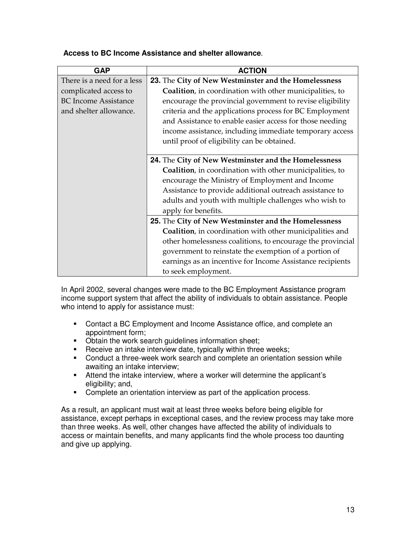| <b>GAP</b>                  | <b>ACTION</b>                                              |
|-----------------------------|------------------------------------------------------------|
| There is a need for a less  | 23. The City of New Westminster and the Homelessness       |
| complicated access to       | Coalition, in coordination with other municipalities, to   |
| <b>BC</b> Income Assistance | encourage the provincial government to revise eligibility  |
| and shelter allowance.      | criteria and the applications process for BC Employment    |
|                             | and Assistance to enable easier access for those needing   |
|                             | income assistance, including immediate temporary access    |
|                             | until proof of eligibility can be obtained.                |
|                             |                                                            |
|                             | 24. The City of New Westminster and the Homelessness       |
|                             | Coalition, in coordination with other municipalities, to   |
|                             | encourage the Ministry of Employment and Income            |
|                             | Assistance to provide additional outreach assistance to    |
|                             | adults and youth with multiple challenges who wish to      |
|                             | apply for benefits.                                        |
|                             | 25. The City of New Westminster and the Homelessness       |
|                             | Coalition, in coordination with other municipalities and   |
|                             | other homelessness coalitions, to encourage the provincial |
|                             | government to reinstate the exemption of a portion of      |
|                             | earnings as an incentive for Income Assistance recipients  |
|                             | to seek employment.                                        |

#### **Access to BC Income Assistance and shelter allowance**.

In April 2002, several changes were made to the BC Employment Assistance program income support system that affect the ability of individuals to obtain assistance. People who intend to apply for assistance must:

- Contact a BC Employment and Income Assistance office, and complete an appointment form;
- Obtain the work search guidelines information sheet;
- **Receive an intake interview date, typically within three weeks;**
- Conduct a three-week work search and complete an orientation session while awaiting an intake interview;
- Attend the intake interview, where a worker will determine the applicant's eligibility; and,
- Complete an orientation interview as part of the application process.

As a result, an applicant must wait at least three weeks before being eligible for assistance, except perhaps in exceptional cases, and the review process may take more than three weeks. As well, other changes have affected the ability of individuals to access or maintain benefits, and many applicants find the whole process too daunting and give up applying.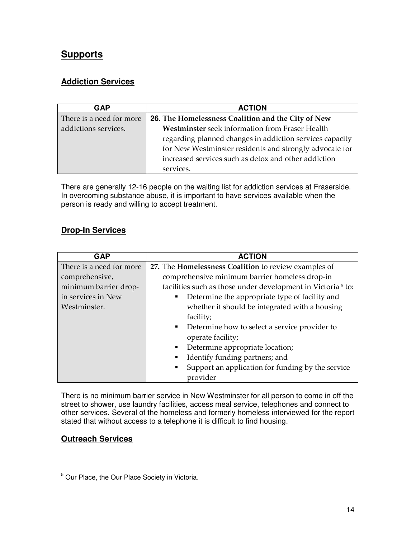#### **Supports**

#### **Addiction Services**

| <b>GAP</b>               | <b>ACTION</b>                                            |
|--------------------------|----------------------------------------------------------|
| There is a need for more | 26. The Homelessness Coalition and the City of New       |
| addictions services.     | Westminster seek information from Fraser Health          |
|                          | regarding planned changes in addiction services capacity |
|                          | for New Westminster residents and strongly advocate for  |
|                          | increased services such as detox and other addiction     |
|                          | services.                                                |

There are generally 12-16 people on the waiting list for addiction services at Fraserside. In overcoming substance abuse, it is important to have services available when the person is ready and willing to accept treatment.

#### **Drop-In Services**

| <b>GAP</b>               | <b>ACTION</b>                                                           |  |  |
|--------------------------|-------------------------------------------------------------------------|--|--|
| There is a need for more | 27. The Homelessness Coalition to review examples of                    |  |  |
| comprehensive,           | comprehensive minimum barrier homeless drop-in                          |  |  |
| minimum barrier drop-    | facilities such as those under development in Victoria <sup>5</sup> to: |  |  |
| in services in New       | Determine the appropriate type of facility and                          |  |  |
| Westminster.             | whether it should be integrated with a housing                          |  |  |
|                          | facility;                                                               |  |  |
|                          | Determine how to select a service provider to<br>٠                      |  |  |
|                          | operate facility;                                                       |  |  |
|                          | Determine appropriate location;<br>٠                                    |  |  |
|                          | Identify funding partners; and                                          |  |  |
|                          | Support an application for funding by the service<br>٠                  |  |  |
|                          | provider                                                                |  |  |

There is no minimum barrier service in New Westminster for all person to come in off the street to shower, use laundry facilities, access meal service, telephones and connect to other services. Several of the homeless and formerly homeless interviewed for the report stated that without access to a telephone it is difficult to find housing.

#### **Outreach Services**

 5 Our Place, the Our Place Society in Victoria.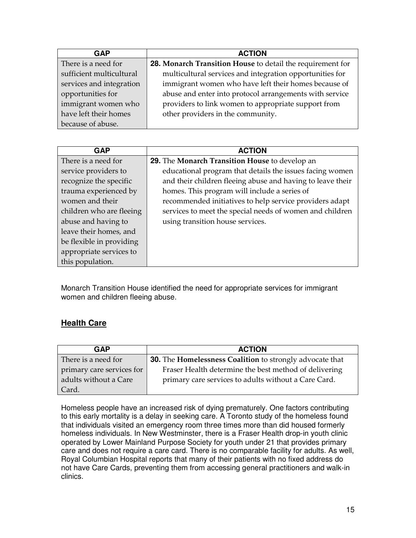| <b>GAP</b>               | <b>ACTION</b>                                              |
|--------------------------|------------------------------------------------------------|
| There is a need for      | 28. Monarch Transition House to detail the requirement for |
| sufficient multicultural | multicultural services and integration opportunities for   |
| services and integration | immigrant women who have left their homes because of       |
| opportunities for        | abuse and enter into protocol arrangements with service    |
| immigrant women who      | providers to link women to appropriate support from        |
| have left their homes    | other providers in the community.                          |
| because of abuse.        |                                                            |

| <b>GAP</b>               | <b>ACTION</b>                                              |
|--------------------------|------------------------------------------------------------|
| There is a need for      | 29. The Monarch Transition House to develop an             |
| service providers to     | educational program that details the issues facing women   |
| recognize the specific   | and their children fleeing abuse and having to leave their |
| trauma experienced by    | homes. This program will include a series of               |
| women and their          | recommended initiatives to help service providers adapt    |
| children who are fleeing | services to meet the special needs of women and children   |
| abuse and having to      | using transition house services.                           |
| leave their homes, and   |                                                            |
| be flexible in providing |                                                            |
| appropriate services to  |                                                            |
| this population.         |                                                            |

Monarch Transition House identified the need for appropriate services for immigrant women and children fleeing abuse.

#### **Health Care**

| GAP                       | <b>ACTION</b>                                                   |
|---------------------------|-----------------------------------------------------------------|
| There is a need for       | <b>30.</b> The Homelessness Coalition to strongly advocate that |
| primary care services for | Fraser Health determine the best method of delivering           |
| adults without a Care     | primary care services to adults without a Care Card.            |
| Card.                     |                                                                 |

Homeless people have an increased risk of dying prematurely. One factors contributing to this early mortality is a delay in seeking care. A Toronto study of the homeless found that individuals visited an emergency room three times more than did housed formerly homeless individuals. In New Westminster, there is a Fraser Health drop-in youth clinic operated by Lower Mainland Purpose Society for youth under 21 that provides primary care and does not require a care card. There is no comparable facility for adults. As well, Royal Columbian Hospital reports that many of their patients with no fixed address do not have Care Cards, preventing them from accessing general practitioners and walk-in clinics.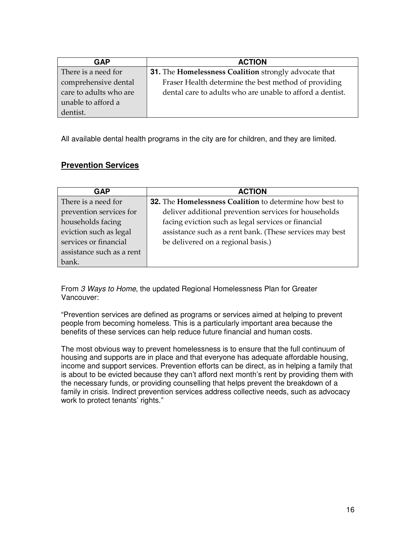| <b>GAP</b>             | <b>ACTION</b>                                                       |  |
|------------------------|---------------------------------------------------------------------|--|
| There is a need for    | <b>31.</b> The <b>Homelessness Coalition</b> strongly advocate that |  |
| comprehensive dental   | Fraser Health determine the best method of providing                |  |
| care to adults who are | dental care to adults who are unable to afford a dentist.           |  |
| unable to afford a     |                                                                     |  |
| dentist.               |                                                                     |  |

All available dental health programs in the city are for children, and they are limited.

#### **Prevention Services**

| <b>GAP</b>                | <b>ACTION</b>                                            |
|---------------------------|----------------------------------------------------------|
| There is a need for       | 32. The Homelessness Coalition to determine how best to  |
| prevention services for   | deliver additional prevention services for households    |
| households facing         | facing eviction such as legal services or financial      |
| eviction such as legal    | assistance such as a rent bank. (These services may best |
| services or financial     | be delivered on a regional basis.)                       |
| assistance such as a rent |                                                          |
| bank.                     |                                                          |

From 3 Ways to Home, the updated Regional Homelessness Plan for Greater Vancouver:

"Prevention services are defined as programs or services aimed at helping to prevent people from becoming homeless. This is a particularly important area because the benefits of these services can help reduce future financial and human costs.

The most obvious way to prevent homelessness is to ensure that the full continuum of housing and supports are in place and that everyone has adequate affordable housing, income and support services. Prevention efforts can be direct, as in helping a family that is about to be evicted because they can't afford next month's rent by providing them with the necessary funds, or providing counselling that helps prevent the breakdown of a family in crisis. Indirect prevention services address collective needs, such as advocacy work to protect tenants' rights."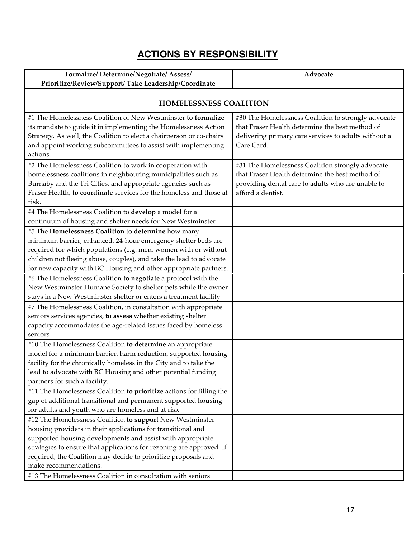# **ACTIONS BY RESPONSIBILITY**

| Formalize/Determine/Negotiate/Assess/                                                                                                                                                                                                                                                                                                                                                                                                                                                                                                                                                                                                                                                                                                                                                                                                                                                                                                                             | Advocate                                                                                                                                                                      |  |  |
|-------------------------------------------------------------------------------------------------------------------------------------------------------------------------------------------------------------------------------------------------------------------------------------------------------------------------------------------------------------------------------------------------------------------------------------------------------------------------------------------------------------------------------------------------------------------------------------------------------------------------------------------------------------------------------------------------------------------------------------------------------------------------------------------------------------------------------------------------------------------------------------------------------------------------------------------------------------------|-------------------------------------------------------------------------------------------------------------------------------------------------------------------------------|--|--|
| Prioritize/Review/Support/ Take Leadership/Coordinate                                                                                                                                                                                                                                                                                                                                                                                                                                                                                                                                                                                                                                                                                                                                                                                                                                                                                                             |                                                                                                                                                                               |  |  |
| <b>HOMELESSNESS COALITION</b>                                                                                                                                                                                                                                                                                                                                                                                                                                                                                                                                                                                                                                                                                                                                                                                                                                                                                                                                     |                                                                                                                                                                               |  |  |
| #1 The Homelessness Coalition of New Westminster to formalize<br>its mandate to guide it in implementing the Homelessness Action<br>Strategy. As well, the Coalition to elect a chairperson or co-chairs<br>and appoint working subcommittees to assist with implementing<br>actions.                                                                                                                                                                                                                                                                                                                                                                                                                                                                                                                                                                                                                                                                             | #30 The Homelessness Coalition to strongly advocate<br>that Fraser Health determine the best method of<br>delivering primary care services to adults without a<br>Care Card.  |  |  |
| #2 The Homelessness Coalition to work in cooperation with<br>homelessness coalitions in neighbouring municipalities such as<br>Burnaby and the Tri Cities, and appropriate agencies such as<br>Fraser Health, to coordinate services for the homeless and those at<br>risk.                                                                                                                                                                                                                                                                                                                                                                                                                                                                                                                                                                                                                                                                                       | #31 The Homelessness Coalition strongly advocate<br>that Fraser Health determine the best method of<br>providing dental care to adults who are unable to<br>afford a dentist. |  |  |
| #4 The Homelessness Coalition to develop a model for a<br>continuum of housing and shelter needs for New Westminster                                                                                                                                                                                                                                                                                                                                                                                                                                                                                                                                                                                                                                                                                                                                                                                                                                              |                                                                                                                                                                               |  |  |
| #5 The Homelessness Coalition to determine how many<br>minimum barrier, enhanced, 24-hour emergency shelter beds are<br>required for which populations (e.g. men, women with or without<br>children not fleeing abuse, couples), and take the lead to advocate<br>for new capacity with BC Housing and other appropriate partners.<br>#6 The Homelessness Coalition to negotiate a protocol with the<br>New Westminster Humane Society to shelter pets while the owner<br>stays in a New Westminster shelter or enters a treatment facility<br>#7 The Homelessness Coalition, in consultation with appropriate<br>seniors services agencies, to assess whether existing shelter<br>capacity accommodates the age-related issues faced by homeless<br>seniors<br>#10 The Homelessness Coalition to determine an appropriate<br>model for a minimum barrier, harm reduction, supported housing<br>facility for the chronically homeless in the City and to take the |                                                                                                                                                                               |  |  |
| lead to advocate with BC Housing and other potential funding<br>partners for such a facility.                                                                                                                                                                                                                                                                                                                                                                                                                                                                                                                                                                                                                                                                                                                                                                                                                                                                     |                                                                                                                                                                               |  |  |
| #11 The Homelessness Coalition to prioritize actions for filling the<br>gap of additional transitional and permanent supported housing<br>for adults and youth who are homeless and at risk                                                                                                                                                                                                                                                                                                                                                                                                                                                                                                                                                                                                                                                                                                                                                                       |                                                                                                                                                                               |  |  |
| #12 The Homelessness Coalition to support New Westminster<br>housing providers in their applications for transitional and<br>supported housing developments and assist with appropriate<br>strategies to ensure that applications for rezoning are approved. If<br>required, the Coalition may decide to prioritize proposals and<br>make recommendations.<br>#13 The Homelessness Coalition in consultation with seniors                                                                                                                                                                                                                                                                                                                                                                                                                                                                                                                                         |                                                                                                                                                                               |  |  |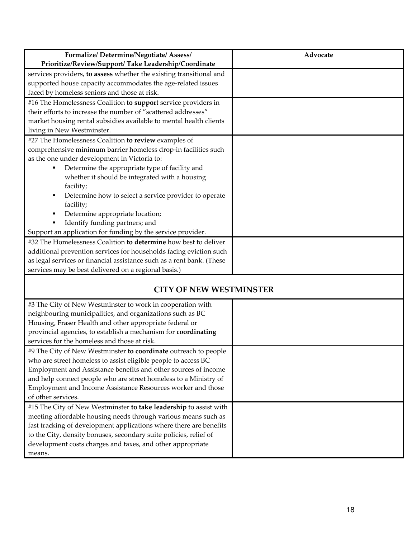| Formalize/Determine/Negotiate/Assess/                                 | Advocate |
|-----------------------------------------------------------------------|----------|
| Prioritize/Review/Support/ Take Leadership/Coordinate                 |          |
| services providers, to assess whether the existing transitional and   |          |
| supported house capacity accommodates the age-related issues          |          |
| faced by homeless seniors and those at risk.                          |          |
| #16 The Homelessness Coalition to support service providers in        |          |
| their efforts to increase the number of "scattered addresses"         |          |
| market housing rental subsidies available to mental health clients    |          |
| living in New Westminster.                                            |          |
| #27 The Homelessness Coalition to review examples of                  |          |
| comprehensive minimum barrier homeless drop-in facilities such        |          |
| as the one under development in Victoria to:                          |          |
| Determine the appropriate type of facility and                        |          |
| whether it should be integrated with a housing                        |          |
| facility;                                                             |          |
| Determine how to select a service provider to operate<br>٠            |          |
| facility;                                                             |          |
| Determine appropriate location;                                       |          |
| Identify funding partners; and                                        |          |
| Support an application for funding by the service provider.           |          |
| #32 The Homelessness Coalition to determine how best to deliver       |          |
| additional prevention services for households facing eviction such    |          |
| as legal services or financial assistance such as a rent bank. (These |          |
| services may be best delivered on a regional basis.)                  |          |
|                                                                       |          |

#### CITY OF NEW WESTMINSTER

| #3 The City of New Westminster to work in cooperation with         |  |
|--------------------------------------------------------------------|--|
| neighbouring municipalities, and organizations such as BC          |  |
| Housing, Fraser Health and other appropriate federal or            |  |
| provincial agencies, to establish a mechanism for coordinating     |  |
| services for the homeless and those at risk.                       |  |
| #9 The City of New Westminster to coordinate outreach to people    |  |
| who are street homeless to assist eligible people to access BC     |  |
| Employment and Assistance benefits and other sources of income     |  |
| and help connect people who are street homeless to a Ministry of   |  |
| Employment and Income Assistance Resources worker and those        |  |
| of other services.                                                 |  |
| #15 The City of New Westminster to take leadership to assist with  |  |
| meeting affordable housing needs through various means such as     |  |
| fast tracking of development applications where there are benefits |  |
| to the City, density bonuses, secondary suite policies, relief of  |  |
| development costs charges and taxes, and other appropriate         |  |
| means.                                                             |  |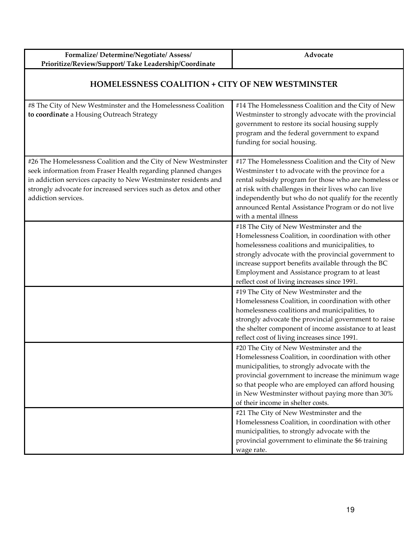| Formalize/Determine/Negotiate/Assess/<br>Prioritize/Review/Support/ Take Leadership/Coordinate                                                                                                                                                                                                | Advocate                                                                                                                                                                                                                                                                                                                                                       |
|-----------------------------------------------------------------------------------------------------------------------------------------------------------------------------------------------------------------------------------------------------------------------------------------------|----------------------------------------------------------------------------------------------------------------------------------------------------------------------------------------------------------------------------------------------------------------------------------------------------------------------------------------------------------------|
| <b>HOMELESSNESS COALITION + CITY OF NEW WESTMINSTER</b>                                                                                                                                                                                                                                       |                                                                                                                                                                                                                                                                                                                                                                |
| #8 The City of New Westminster and the Homelessness Coalition<br>to coordinate a Housing Outreach Strategy                                                                                                                                                                                    | #14 The Homelessness Coalition and the City of New<br>Westminster to strongly advocate with the provincial<br>government to restore its social housing supply<br>program and the federal government to expand<br>funding for social housing.                                                                                                                   |
| #26 The Homelessness Coalition and the City of New Westminster<br>seek information from Fraser Health regarding planned changes<br>in addiction services capacity to New Westminster residents and<br>strongly advocate for increased services such as detox and other<br>addiction services. | #17 The Homelessness Coalition and the City of New<br>Westminster t to advocate with the province for a<br>rental subsidy program for those who are homeless or<br>at risk with challenges in their lives who can live<br>independently but who do not qualify for the recently<br>announced Rental Assistance Program or do not live<br>with a mental illness |
|                                                                                                                                                                                                                                                                                               | #18 The City of New Westminster and the<br>Homelessness Coalition, in coordination with other<br>homelessness coalitions and municipalities, to<br>strongly advocate with the provincial government to<br>increase support benefits available through the BC<br>Employment and Assistance program to at least<br>reflect cost of living increases since 1991.  |
|                                                                                                                                                                                                                                                                                               | #19 The City of New Westminster and the<br>Homelessness Coalition, in coordination with other<br>homelessness coalitions and municipalities, to<br>strongly advocate the provincial government to raise<br>the shelter component of income assistance to at least<br>reflect cost of living increases since 1991.                                              |
|                                                                                                                                                                                                                                                                                               | #20 The City of New Westminster and the<br>Homelessness Coalition, in coordination with other<br>municipalities, to strongly advocate with the<br>provincial government to increase the minimum wage<br>so that people who are employed can afford housing<br>in New Westminster without paying more than 30%<br>of their income in shelter costs.             |
|                                                                                                                                                                                                                                                                                               | #21 The City of New Westminster and the<br>Homelessness Coalition, in coordination with other<br>municipalities, to strongly advocate with the<br>provincial government to eliminate the \$6 training<br>wage rate.                                                                                                                                            |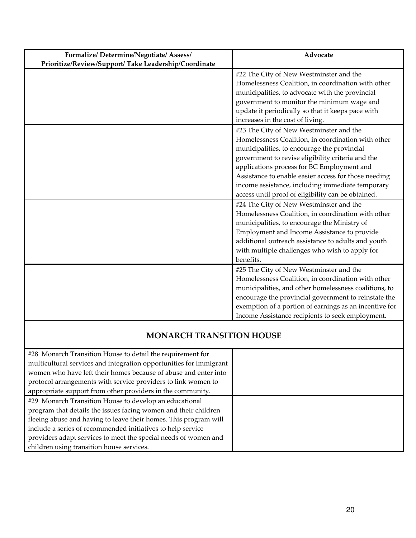| Formalize/Determine/Negotiate/Assess/                 | Advocate                                                                                        |
|-------------------------------------------------------|-------------------------------------------------------------------------------------------------|
| Prioritize/Review/Support/ Take Leadership/Coordinate |                                                                                                 |
|                                                       | #22 The City of New Westminster and the                                                         |
|                                                       | Homelessness Coalition, in coordination with other                                              |
|                                                       | municipalities, to advocate with the provincial                                                 |
|                                                       | government to monitor the minimum wage and<br>update it periodically so that it keeps pace with |
|                                                       | increases in the cost of living.                                                                |
|                                                       | #23 The City of New Westminster and the                                                         |
|                                                       | Homelessness Coalition, in coordination with other                                              |
|                                                       | municipalities, to encourage the provincial                                                     |
|                                                       | government to revise eligibility criteria and the                                               |
|                                                       | applications process for BC Employment and                                                      |
|                                                       | Assistance to enable easier access for those needing                                            |
|                                                       | income assistance, including immediate temporary                                                |
|                                                       | access until proof of eligibility can be obtained.                                              |
|                                                       | #24 The City of New Westminster and the                                                         |
|                                                       | Homelessness Coalition, in coordination with other                                              |
|                                                       | municipalities, to encourage the Ministry of                                                    |
|                                                       | Employment and Income Assistance to provide                                                     |
|                                                       | additional outreach assistance to adults and youth                                              |
|                                                       | with multiple challenges who wish to apply for                                                  |
|                                                       | benefits.                                                                                       |
|                                                       | #25 The City of New Westminster and the                                                         |
|                                                       | Homelessness Coalition, in coordination with other                                              |
|                                                       | municipalities, and other homelessness coalitions, to                                           |
|                                                       | encourage the provincial government to reinstate the                                            |
|                                                       | exemption of a portion of earnings as an incentive for                                          |
|                                                       | Income Assistance recipients to seek employment.                                                |

#### MONARCH TRANSITION HOUSE

| #28 Monarch Transition House to detail the requirement for         |  |
|--------------------------------------------------------------------|--|
| multicultural services and integration opportunities for immigrant |  |
| women who have left their homes because of abuse and enter into    |  |
| protocol arrangements with service providers to link women to      |  |
| appropriate support from other providers in the community.         |  |
| #29 Monarch Transition House to develop an educational             |  |
| program that details the issues facing women and their children    |  |
| fleeing abuse and having to leave their homes. This program will   |  |
| include a series of recommended initiatives to help service        |  |
| providers adapt services to meet the special needs of women and    |  |
| children using transition house services.                          |  |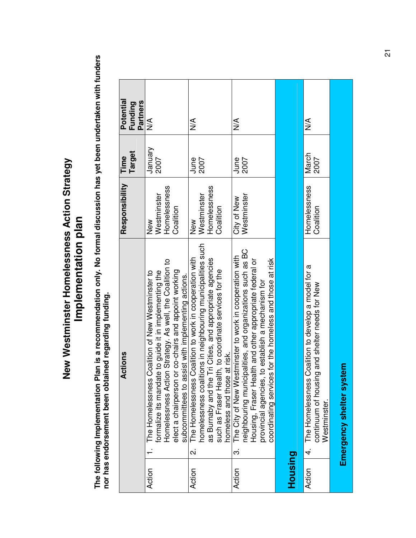# **New Westminster Homelessness Action Strategy**  New Westminster Homelessness Action Strategy **Implementation plan**  Implementation plan

The following Implementation Plan is a recommendation only. No formal discussion has yet been undertaken with funders<br>nor has endorsement been obtained regarding funding. **The following Implementation Plan is a recommendation only. No formal discussion has yet been undertaken with funders nor has endorsement been obtained regarding funding.** 

|         | Actions                                                                                                                                                                                                                                                                                                    | Responsibility                                  | Time            | Potential                  |
|---------|------------------------------------------------------------------------------------------------------------------------------------------------------------------------------------------------------------------------------------------------------------------------------------------------------------|-------------------------------------------------|-----------------|----------------------------|
|         |                                                                                                                                                                                                                                                                                                            |                                                 | Target          | <b>Partners</b><br>Funding |
| Action  | Homelessness Action Strategy. As well, the Coalition to<br>elect a chairperson or co-chairs and appoint working<br>formalize its mandate to guide it in implementing the<br>The Homelessness Coalition of New Westminster to<br>assist with implementing actions.<br>subcommittees to                      | Homelessness<br>Westminster<br>Coalition<br>New | January<br>2007 | ⋚                          |
| Action  | homelessness coalitions in neighbouring municipalities such<br>The Homelessness Coalition to work in cooperation with<br>as Burnaby and the Tri Cities, and appropriate agencies<br>such as Fraser Health, to coordinate services for the<br>homeless and those at risk.<br>$\overline{\mathbf{c}}$        | Homelessness<br>Westminster<br>Coalition<br>New | June<br>2007    | $\frac{1}{2}$              |
| Action  | neighbouring municipalities, and organizations such as BC<br>estminster to work in cooperation with<br>coordinating services for the homeless and those at risk<br>Housing, Fraser Health and other appropriate federal or<br>provincial agencies, to establish a mechanism for<br>The City of New W<br>က် | City of New<br>Westminster                      | June<br>2007    | ⋚                          |
| Housing |                                                                                                                                                                                                                                                                                                            |                                                 |                 |                            |
| Action  | 4. The Homelessness Coalition to develop a model for a<br>continuum of housing and shelter needs for New<br>Westminster.                                                                                                                                                                                   | Homelessness<br>Coalition                       | March<br>2007   | ⋚                          |
|         | Emergency shelter system                                                                                                                                                                                                                                                                                   |                                                 |                 |                            |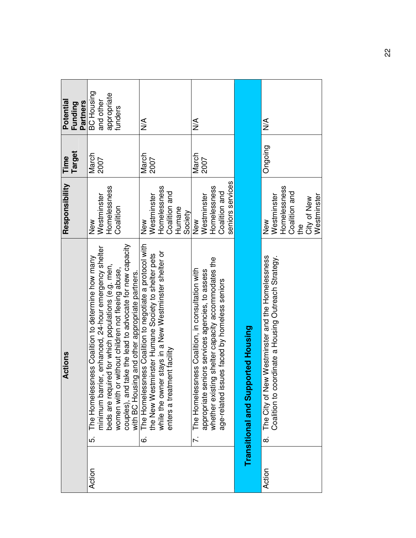| Potential<br><b>Partners</b><br>Funding | <b>BC Housing</b><br>appropriate<br>and other<br>funders                                                                                                                                                                                                                                                                                                 | $\frac{1}{2}$                                                                                                                                                                                                           | $\frac{1}{2}$                                                                                                                                                                                                  |                                         | ⋚                                                                                                                        |
|-----------------------------------------|----------------------------------------------------------------------------------------------------------------------------------------------------------------------------------------------------------------------------------------------------------------------------------------------------------------------------------------------------------|-------------------------------------------------------------------------------------------------------------------------------------------------------------------------------------------------------------------------|----------------------------------------------------------------------------------------------------------------------------------------------------------------------------------------------------------------|-----------------------------------------|--------------------------------------------------------------------------------------------------------------------------|
| Target<br>Time                          | March<br>2007                                                                                                                                                                                                                                                                                                                                            | March<br>2007                                                                                                                                                                                                           | March<br>2007                                                                                                                                                                                                  |                                         | Ongoing                                                                                                                  |
| Responsibility                          | Homelessness<br>Westminster<br>Coalition<br>New                                                                                                                                                                                                                                                                                                          | Homelessness<br>Coalition and<br>Westminster<br>Humane<br>Society<br>New                                                                                                                                                | seniors services<br>Homelessness<br>Coalition and<br>Westminster<br>New                                                                                                                                        |                                         | Homelessness<br>Coalition and<br>Westminster<br>Westminster<br>City of New<br>New<br>the                                 |
| Actions                                 | women with or without children not fleeing abuse,<br>couples), and take the lead to advocate for new capacity<br>rier, enhanced, 24-hour emergency shelter<br>The Homelessness Coalition to determine how many<br>beds are required for which populations (e.g. men,<br>with BC Housing and other appropriate partners.<br>minimum barr<br>່ດ່<br>Action | The Homelessness Coalition to negotiate a protocol with<br>the New Westminster Humane Society to shelter pets<br>er stays in a New Westminster shelter or<br>ment facility<br>while the own<br>enters a treat<br>.<br>ف | whether existing shelter capacity accommodates the<br>The Homelessness Coalition, in consultation with<br>appropriate seniors services agencies, to assess<br>sues faced by homeless seniors<br>age-related is | ported Housing<br>Transitional and Supp | The City of New Westminster and the Homelessness<br>Coalition to coordinate a Housing Outreach Strategy.<br>ထဲ<br>Action |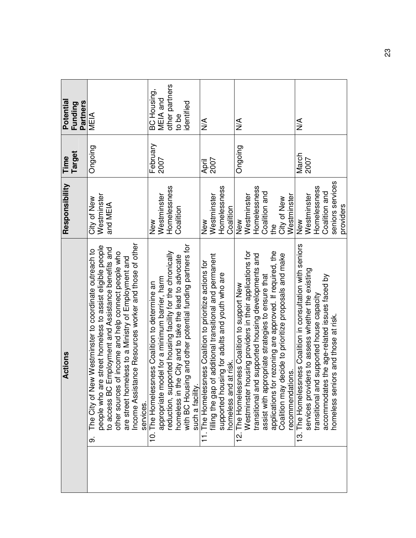| Actions                                                                                                                                                                                                                                                                                                                                                                  | Responsibility                                                                           | Target<br>Time   | Potentia<br><b>Partners</b><br>Funding                           |
|--------------------------------------------------------------------------------------------------------------------------------------------------------------------------------------------------------------------------------------------------------------------------------------------------------------------------------------------------------------------------|------------------------------------------------------------------------------------------|------------------|------------------------------------------------------------------|
| tance Resources worker and those of other<br>re street homeless to assist eligible people<br>Employment and Assistance benefits and<br>The City of New Westminster to coordinate outreach to<br>other sources of income and help connect people who<br>are street homeless to a Ministry of Employment and<br>to access BC<br>Income Assist<br>people who a<br>တ         | Westminster<br>City of New<br>and MEIA                                                   | Ongoing          | MEIA<br>M                                                        |
| with BC Housing and other potential funding partners for<br>reduction, supported housing facility for the chronically<br>he City and to take the lead to advocate<br>odel for a minimum barrier, harm<br>10. The Homelessness Coalition to determine an<br>appropriate m<br>homeless in t<br>such a facility<br>services.                                                | Homelessness<br>Westminster<br>Coalition<br>New                                          | February<br>2007 | other partners<br>BC Housing,<br>MEIA and<br>identified<br>to be |
| of additional transitional and permanent<br>11. The Homelessness Coalition to prioritize actions for<br>supported housing for adults and youth who are<br>at risk.<br>homeless and<br>filling the gap                                                                                                                                                                    | Homelessness<br>Westminster<br>Coalition<br>New                                          | 2007<br>April    | $\frac{1}{2}$                                                    |
| applications for rezoning are approved. If required, the<br>nousing providers in their applications for<br>transitional and supported housing developments and<br>decide to prioritize proposals and make<br>assist with appropriate strategies to ensure that<br>12. The Homelessness Coalition to support New<br>tions.<br>Coalition may<br>recommendat<br>Westminster | Homelessness<br>Coalition and<br>Westminster<br>Westminster<br>City of New<br>New<br>the | Ongoing          | $\frac{8}{5}$                                                    |
| 13. The Homelessness Coalition in consultation with seniors<br>ders to assess whether the existing<br>accommodates the age-related issues faced by<br>transitional and supported house capacity<br>iors and those at risk.<br>services provi<br>homeless sen                                                                                                             | seniors services<br>Homelessness<br>Coalition and<br>Westminster<br>providers<br>New     | March<br>2007    | $\leq$                                                           |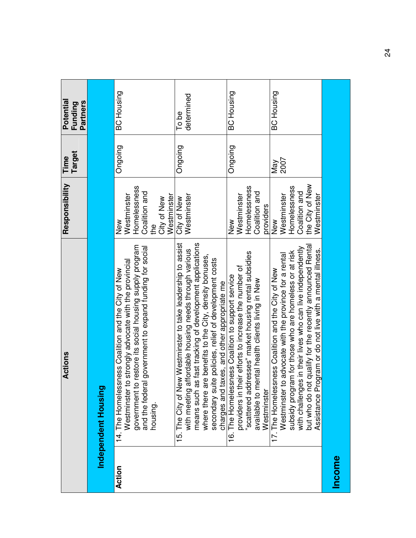|               | Actions                                                                                                                                                                                                                                                                                                                                                    | Responsibility                                                                           | Target<br>Time | Potential<br><b>Partners</b><br>Funding |
|---------------|------------------------------------------------------------------------------------------------------------------------------------------------------------------------------------------------------------------------------------------------------------------------------------------------------------------------------------------------------------|------------------------------------------------------------------------------------------|----------------|-----------------------------------------|
|               | Independent Housing                                                                                                                                                                                                                                                                                                                                        |                                                                                          |                |                                         |
| Action        | government to restore its social housing supply program<br>and the federal government to expand funding for social<br>Westminster to strongly advocate with the provincial<br>14. The Homelessness Coalition and the City of New<br>housing.                                                                                                               | Homelessness<br>Coalition and<br>Westminster<br>Westminster<br>City of New<br>New<br>the | Ongoing        | <b>BC Housing</b>                       |
|               | 15. The City of New Westminster to take leadership to assist<br>means such as fast tracking of development applications<br>with meeting affordable housing needs through various<br>where there are benefits to the City, density bonuses,<br>secondary suite policies, relief of development costs<br>charges and taxes, and other appropriate me         | Westminster<br>City of New                                                               | Ongoing        | determined<br>To be                     |
|               | scattered addresses" market housing rental subsidies<br>providers in their efforts to increase the number of<br>16. The Homelessness Coalition to support service<br>available to mental health clients living in New<br>Westminster                                                                                                                       | Homelessness<br>Coalition and<br>Westminster<br>providers<br>$\frac{8}{2}$               | Ongoing        | <b>BC Housing</b>                       |
|               | but who do not qualify for the recently announced Rental<br>with challenges in their lives who can live independently<br>Assistance Program or do not live with a mental illness.<br>subsidy program for those who are homeless or at risk<br>Westminster to advocate with the province for a rental<br>17. The Homelessness Coalition and the City of New | the City of New<br>Homelessness<br>Coalition and<br>Westminster<br>Westminster<br>New    | 2007<br>Nay    | <b>BC Housing</b>                       |
| <b>Income</b> |                                                                                                                                                                                                                                                                                                                                                            |                                                                                          |                |                                         |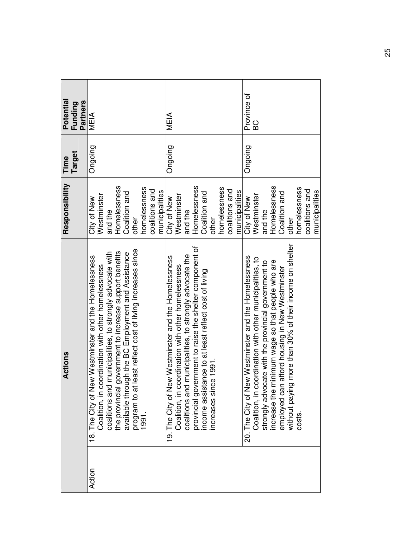| Potential<br><b>Partners</b><br>Funding | MEIA                                                                                                                                                                                                                                                                                                                                                                         | MEIA                                                                                                                                                                                                                                                                                                                           | Province of<br><b>DB</b>                                                                                                                                                                                                                                                                                                                                     |
|-----------------------------------------|------------------------------------------------------------------------------------------------------------------------------------------------------------------------------------------------------------------------------------------------------------------------------------------------------------------------------------------------------------------------------|--------------------------------------------------------------------------------------------------------------------------------------------------------------------------------------------------------------------------------------------------------------------------------------------------------------------------------|--------------------------------------------------------------------------------------------------------------------------------------------------------------------------------------------------------------------------------------------------------------------------------------------------------------------------------------------------------------|
| Target<br>Time                          | Ongoing                                                                                                                                                                                                                                                                                                                                                                      | Ongoing                                                                                                                                                                                                                                                                                                                        | Ongoing                                                                                                                                                                                                                                                                                                                                                      |
| Responsibility                          | Homelessness<br>homelessness<br>coalitions and<br>municipalities<br>Coalition and<br>Westminster<br>City of New<br>and the<br>other                                                                                                                                                                                                                                          | Homelessness<br>homelessness<br>coalitions and<br>municipalities<br>Coalition and<br>Westminster<br>City of New<br>and the<br>other                                                                                                                                                                                            | Homelessness<br>homelessness<br>coalitions and<br>municipalities<br>Coalition and<br>Westminster<br>City of New<br>and the<br>other                                                                                                                                                                                                                          |
| Actions                                 | least reflect cost of living increases since<br>coalitions and municipalities, to strongly advocate with<br>the provincial government to increase support benefits<br>available through the BC Employment and Assistance<br>18. The City of New Westminster and the Homelessness<br>Coalition, in coordination with other homelessness<br>program to at l<br>1991.<br>Action | vernment to raise the shelter component of<br>coalitions and municipalities, to strongly advocate the<br>19. The City of New Westminster and the Homelessness<br>Coalition, in coordination with other homelessness<br>tance to at least reflect cost of living<br>ce 1991<br>income assist<br>provincial gov<br>increases sin | g more than 30% of their income on shelter<br>20. The City of New Westminster and the Homelessness<br>Coalition, in coordination with other municipalities, to<br>strongly advocate with the provincial government to<br>increase the minimum wage so that people who are<br>n afford housing in New Westminster<br>employed can<br>without paying<br>costs. |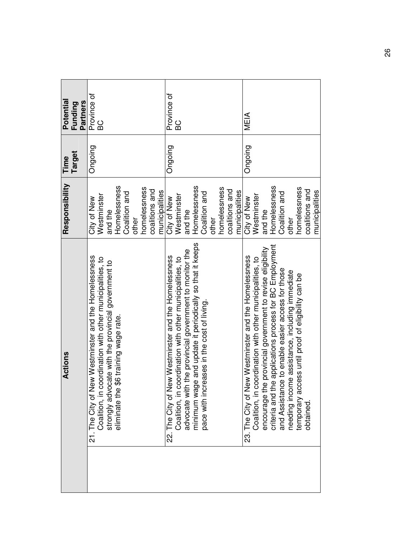| Potential      | Partners<br>Funding | Province of<br><b>DB</b>                                                                                                                                                                                         |         |                         |               |       |              |                |                | Province of                                                                                                      | BC          |                                                                                                                    |              |                                                |       |              |                |                | MEIA                                                 |             |                                                                                                                                                                                  |              |               |                                                                                                    |                                                    |                |                |
|----------------|---------------------|------------------------------------------------------------------------------------------------------------------------------------------------------------------------------------------------------------------|---------|-------------------------|---------------|-------|--------------|----------------|----------------|------------------------------------------------------------------------------------------------------------------|-------------|--------------------------------------------------------------------------------------------------------------------|--------------|------------------------------------------------|-------|--------------|----------------|----------------|------------------------------------------------------|-------------|----------------------------------------------------------------------------------------------------------------------------------------------------------------------------------|--------------|---------------|----------------------------------------------------------------------------------------------------|----------------------------------------------------|----------------|----------------|
| Time           | Target              | Ongoing                                                                                                                                                                                                          |         |                         |               |       |              |                |                | Ongoing                                                                                                          |             |                                                                                                                    |              |                                                |       |              |                |                | Ongoing                                              |             |                                                                                                                                                                                  |              |               |                                                                                                    |                                                    |                |                |
| Responsibility |                     | Westminster<br>City of New                                                                                                                                                                                       | and the | Homelessness            | Coalition and | other | homelessness | coalitions and | municipalities | City of New                                                                                                      | Westminster | and the                                                                                                            | Homelessness | Coalition and                                  | other | homelessness | coalitions and | municipalities | City of New                                          | Westminster | and the                                                                                                                                                                          | Homelessness | Coalition and | other                                                                                              | homelessness                                       | coalitions and | municipalities |
| Actions        |                     | 21. The City of New Westminster and the Homelessness<br>Coalition, in coordination with other municipalities, to<br>strongly advocate with the provincial government to<br>eliminate the \$6 training wage rate. |         | \$6 training wage rate. |               |       |              |                |                | 22. The City of New Westminster and the Homelessness<br>Coalition, in coordination with other municipalities, to |             | advocate with the provincial government to monitor the<br>minimum wage and update it periodically so that it keeps |              | reases in the cost of living.<br>pace with inc |       |              |                |                | 23. The City of New Westminster and the Homelessness |             | Coalition, in coordination with other municipalities, to<br>encourage the provincial government to revise eligibility<br>criteria and the applications process for BC Employment |              |               | and Assistance to enable easier access for those<br>needing income assistance, including immediate | temporary access until proof of eligibility can be | obtained       |                |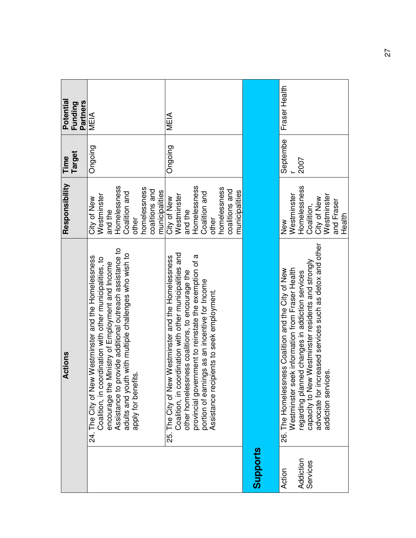| Actions                                                                                                                                                                                                                                                                                                                             | Responsibility                                                                                                                      | <b>Target</b><br>Time | Potential<br><b>Partners</b><br>Funding |
|-------------------------------------------------------------------------------------------------------------------------------------------------------------------------------------------------------------------------------------------------------------------------------------------------------------------------------------|-------------------------------------------------------------------------------------------------------------------------------------|-----------------------|-----------------------------------------|
| provide additional outreach assistance to<br>adults and youth with multiple challenges who wish to<br>24. The City of New Westminster and the Homelessness<br>Coalition, in coordination with other municipalities, to<br>encourage the Ministry of Employment and Income<br>apply for benefits.<br>Assistance to                   | Homelessness<br>homelessness<br>coalitions and<br>municipalities<br>Coalition and<br>Westminster<br>City of New<br>and the<br>other | Ongoing               | MEIA                                    |
| Coalition, in coordination with other municipalities and<br>provincial government to reinstate the exemption of a<br>The City of New Westminster and the Homelessness<br>other homelessness coalitions, to encourage the<br>portion of earnings as an incentive for Income<br>Assistance recipients to seek employment.<br>-<br>25. | Homelessness<br>homelessness<br>coalitions and<br>municipalities<br>Coalition and<br>Westminster<br>City of New<br>and the<br>other | Ongoing               | MEIA                                    |
|                                                                                                                                                                                                                                                                                                                                     |                                                                                                                                     |                       |                                         |
| advocate for increased services such as detox and other<br>capacity to New Westminster residents and strongly<br>Westminster seek information from Fraser Health<br>26. The Homelessness Coalition and the City of New<br>regarding planned changes in addiction services<br>ices.<br>addiction servi                               | Homelessness<br>Westminster<br>Westminster<br>City of New<br>and Fraser<br>Coalition,<br>Health<br>New                              | Septembe<br>2007      | Fraser Health                           |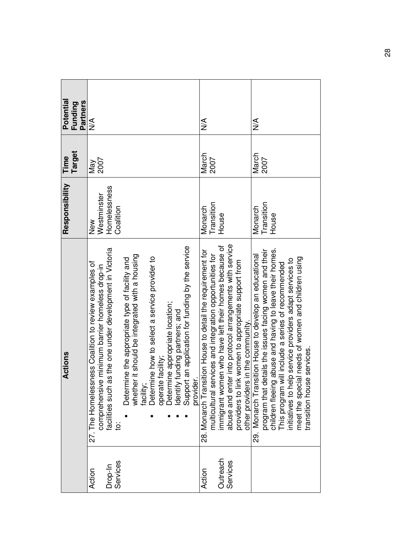| Potential<br><b>Partners</b><br>Funding | $\frac{1}{2}$                                                                                                                                                                                                                                                                                                                                                                                                                                                                                                                | $\leq$                                                                                                                                                                                                                                                                                                                                    | $\leq$                                                                                                                                                                                                                                                                                                                                                                                     |
|-----------------------------------------|------------------------------------------------------------------------------------------------------------------------------------------------------------------------------------------------------------------------------------------------------------------------------------------------------------------------------------------------------------------------------------------------------------------------------------------------------------------------------------------------------------------------------|-------------------------------------------------------------------------------------------------------------------------------------------------------------------------------------------------------------------------------------------------------------------------------------------------------------------------------------------|--------------------------------------------------------------------------------------------------------------------------------------------------------------------------------------------------------------------------------------------------------------------------------------------------------------------------------------------------------------------------------------------|
| Target<br>Time                          | 2007<br>Nay                                                                                                                                                                                                                                                                                                                                                                                                                                                                                                                  | March<br>2007                                                                                                                                                                                                                                                                                                                             | March<br>2007                                                                                                                                                                                                                                                                                                                                                                              |
| Responsibility                          | Homelessness<br>Westminster<br>Coalition<br>New                                                                                                                                                                                                                                                                                                                                                                                                                                                                              | Transition<br>Monarch<br>House                                                                                                                                                                                                                                                                                                            | Transition<br>Monarch<br>House                                                                                                                                                                                                                                                                                                                                                             |
| Actions                                 | Support an application for funding by the service<br>as the one under development in Victoria<br>whether it should be integrated with a housing<br>Determine how to select a service provider to<br>Determine the appropriate type of facility and<br>sness Coalition to review examples of<br>ve minimum barrier homeless drop-in<br>Determine appropriate location;<br>Identify funding partners; and<br>operate facility;<br>provider.<br>27. The Homeles<br>facilities such<br>facility<br>comprehensi<br>$\overline{5}$ | abuse and enter into protocol arrangements with service<br>immigrant women who have left their homes because of<br>28. Monarch Transition House to detail the requirement for<br>multicultural services and integration opportunities for<br>ink women to appropriate support from<br>other providers in the community.<br>providers to I | ng abuse and having to leave their homes.<br>details the issues facing women and their<br>29. Monarch Transition House to develop an educational<br>meet the special needs of women and children using<br>This program will include a series of recommended<br>initiatives to help service providers adapt services to<br>transition house services.<br>program that of<br>children fleein |
|                                         | Services<br>Drop-In<br>Action                                                                                                                                                                                                                                                                                                                                                                                                                                                                                                | Outreach<br>Services<br>Action                                                                                                                                                                                                                                                                                                            |                                                                                                                                                                                                                                                                                                                                                                                            |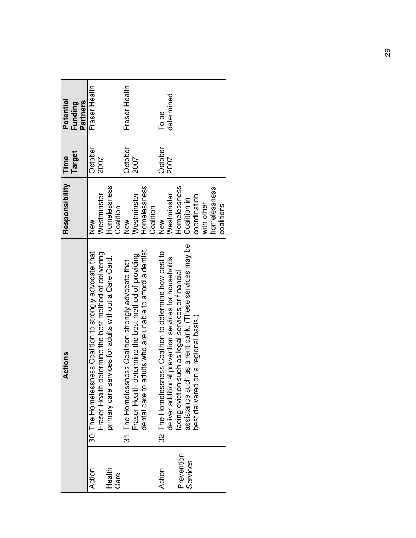| Potential<br><b>Partners</b><br>Funding | Fraser Health                                                                                                                                                                 | Fraser Health                                                                                                                                                                    | determined<br>To be                                                                                                                                                                                                                                                       |
|-----------------------------------------|-------------------------------------------------------------------------------------------------------------------------------------------------------------------------------|----------------------------------------------------------------------------------------------------------------------------------------------------------------------------------|---------------------------------------------------------------------------------------------------------------------------------------------------------------------------------------------------------------------------------------------------------------------------|
| Target<br>Time                          | October<br>2007                                                                                                                                                               | October<br>2007                                                                                                                                                                  | October<br>2007                                                                                                                                                                                                                                                           |
| Responsibility                          | Homelessness<br>Westminster<br>Coalition<br>New                                                                                                                               | Homelessness<br>Westminster<br>Coalition<br>New                                                                                                                                  | Homelessness<br>homelessness<br>Westminster<br>coordination<br>Coalition in<br>with other<br>coalitions<br>New                                                                                                                                                            |
| <b>Actions</b>                          | 30. The Homelessness Coalition to strongly advocate that<br>Fraser Health determine the best method of delivering<br>services for adults without a Care Card.<br>primary care | adults who are unable to afford a dentist.<br>determine the best method of providing<br>31. The Homelessness Coalition strongly advocate that<br>Fraser Health<br>dental care to | assistance such as a rent bank. (These services may be<br>32. The Homelessness Coalition to determine how best to<br>deliver additional prevention services for households<br>facing eviction such as legal services or financial<br>best delivered on a regional basis.) |
|                                         | Health<br>Action<br>Care                                                                                                                                                      |                                                                                                                                                                                  | Prevention<br>Services<br>Action                                                                                                                                                                                                                                          |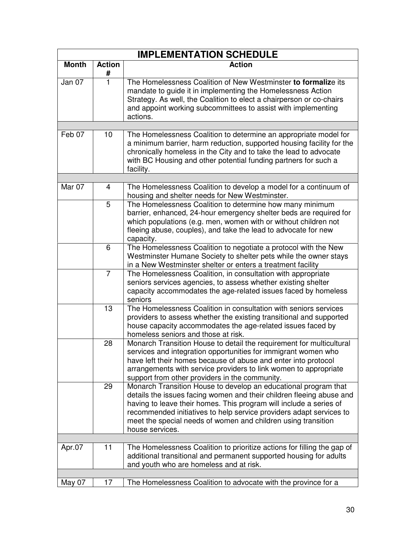|              |                    | <b>IMPLEMENTATION SCHEDULE</b>                                                                                                                                                                                                                                                                                                                                           |
|--------------|--------------------|--------------------------------------------------------------------------------------------------------------------------------------------------------------------------------------------------------------------------------------------------------------------------------------------------------------------------------------------------------------------------|
| <b>Month</b> | <b>Action</b><br># | <b>Action</b>                                                                                                                                                                                                                                                                                                                                                            |
| Jan 07       | 1                  | The Homelessness Coalition of New Westminster to formalize its<br>mandate to guide it in implementing the Homelessness Action<br>Strategy. As well, the Coalition to elect a chairperson or co-chairs<br>and appoint working subcommittees to assist with implementing<br>actions.                                                                                       |
|              |                    |                                                                                                                                                                                                                                                                                                                                                                          |
| Feb 07       | 10                 | The Homelessness Coalition to determine an appropriate model for<br>a minimum barrier, harm reduction, supported housing facility for the<br>chronically homeless in the City and to take the lead to advocate<br>with BC Housing and other potential funding partners for such a<br>facility.                                                                           |
|              |                    |                                                                                                                                                                                                                                                                                                                                                                          |
| Mar 07       | 4                  | The Homelessness Coalition to develop a model for a continuum of<br>housing and shelter needs for New Westminster.                                                                                                                                                                                                                                                       |
|              | 5                  | The Homelessness Coalition to determine how many minimum<br>barrier, enhanced, 24-hour emergency shelter beds are required for<br>which populations (e.g. men, women with or without children not<br>fleeing abuse, couples), and take the lead to advocate for new<br>capacity.                                                                                         |
|              | 6                  | The Homelessness Coalition to negotiate a protocol with the New<br>Westminster Humane Society to shelter pets while the owner stays<br>in a New Westminster shelter or enters a treatment facility                                                                                                                                                                       |
|              | $\overline{7}$     | The Homelessness Coalition, in consultation with appropriate<br>seniors services agencies, to assess whether existing shelter<br>capacity accommodates the age-related issues faced by homeless<br>seniors                                                                                                                                                               |
|              | 13                 | The Homelessness Coalition in consultation with seniors services<br>providers to assess whether the existing transitional and supported<br>house capacity accommodates the age-related issues faced by<br>homeless seniors and those at risk.                                                                                                                            |
|              | 28                 | Monarch Transition House to detail the requirement for multicultural<br>services and integration opportunities for immigrant women who<br>have left their homes because of abuse and enter into protocol<br>arrangements with service providers to link women to appropriate<br>support from other providers in the community.                                           |
|              | 29                 | Monarch Transition House to develop an educational program that<br>details the issues facing women and their children fleeing abuse and<br>having to leave their homes. This program will include a series of<br>recommended initiatives to help service providers adapt services to<br>meet the special needs of women and children using transition<br>house services. |
|              |                    |                                                                                                                                                                                                                                                                                                                                                                          |
| Apr.07       | 11                 | The Homelessness Coalition to prioritize actions for filling the gap of<br>additional transitional and permanent supported housing for adults<br>and youth who are homeless and at risk.                                                                                                                                                                                 |
|              |                    |                                                                                                                                                                                                                                                                                                                                                                          |
| May 07       | 17                 | The Homelessness Coalition to advocate with the province for a                                                                                                                                                                                                                                                                                                           |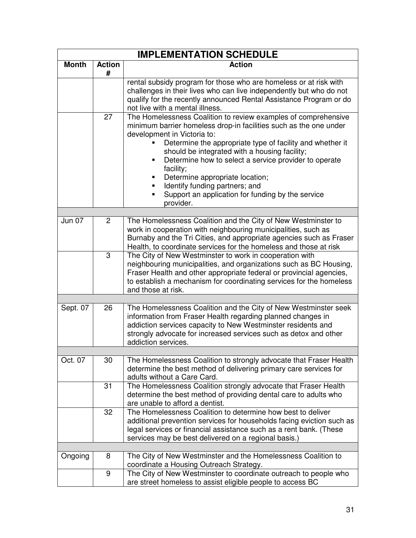|               |                    | <b>IMPLEMENTATION SCHEDULE</b>                                                                                                                                                                                                                                                                                                                                                                                                                                                                                       |
|---------------|--------------------|----------------------------------------------------------------------------------------------------------------------------------------------------------------------------------------------------------------------------------------------------------------------------------------------------------------------------------------------------------------------------------------------------------------------------------------------------------------------------------------------------------------------|
| <b>Month</b>  | <b>Action</b><br># | <b>Action</b>                                                                                                                                                                                                                                                                                                                                                                                                                                                                                                        |
|               |                    | rental subsidy program for those who are homeless or at risk with<br>challenges in their lives who can live independently but who do not<br>qualify for the recently announced Rental Assistance Program or do<br>not live with a mental illness.                                                                                                                                                                                                                                                                    |
|               | 27                 | The Homelessness Coalition to review examples of comprehensive<br>minimum barrier homeless drop-in facilities such as the one under<br>development in Victoria to:<br>Determine the appropriate type of facility and whether it<br>should be integrated with a housing facility;<br>Determine how to select a service provider to operate<br>facility;<br>Determine appropriate location;<br>Identify funding partners; and<br>$\blacksquare$<br>Support an application for funding by the service<br>٠<br>provider. |
| <b>Jun 07</b> |                    |                                                                                                                                                                                                                                                                                                                                                                                                                                                                                                                      |
|               | $\overline{2}$     | The Homelessness Coalition and the City of New Westminster to<br>work in cooperation with neighbouring municipalities, such as<br>Burnaby and the Tri Cities, and appropriate agencies such as Fraser<br>Health, to coordinate services for the homeless and those at risk                                                                                                                                                                                                                                           |
|               | 3                  | The City of New Westminster to work in cooperation with<br>neighbouring municipalities, and organizations such as BC Housing,<br>Fraser Health and other appropriate federal or provincial agencies,<br>to establish a mechanism for coordinating services for the homeless<br>and those at risk.                                                                                                                                                                                                                    |
|               |                    |                                                                                                                                                                                                                                                                                                                                                                                                                                                                                                                      |
| Sept. 07      | 26                 | The Homelessness Coalition and the City of New Westminster seek<br>information from Fraser Health regarding planned changes in<br>addiction services capacity to New Westminster residents and<br>strongly advocate for increased services such as detox and other<br>addiction services.                                                                                                                                                                                                                            |
|               |                    |                                                                                                                                                                                                                                                                                                                                                                                                                                                                                                                      |
| Oct. 07       | 30                 | The Homelessness Coalition to strongly advocate that Fraser Health<br>determine the best method of delivering primary care services for<br>adults without a Care Card.                                                                                                                                                                                                                                                                                                                                               |
|               | 31                 | The Homelessness Coalition strongly advocate that Fraser Health<br>determine the best method of providing dental care to adults who<br>are unable to afford a dentist.                                                                                                                                                                                                                                                                                                                                               |
|               | 32                 | The Homelessness Coalition to determine how best to deliver<br>additional prevention services for households facing eviction such as<br>legal services or financial assistance such as a rent bank. (These<br>services may be best delivered on a regional basis.)                                                                                                                                                                                                                                                   |
|               |                    |                                                                                                                                                                                                                                                                                                                                                                                                                                                                                                                      |
| Ongoing       | 8                  | The City of New Westminster and the Homelessness Coalition to<br>coordinate a Housing Outreach Strategy.                                                                                                                                                                                                                                                                                                                                                                                                             |
|               | 9                  | The City of New Westminster to coordinate outreach to people who<br>are street homeless to assist eligible people to access BC                                                                                                                                                                                                                                                                                                                                                                                       |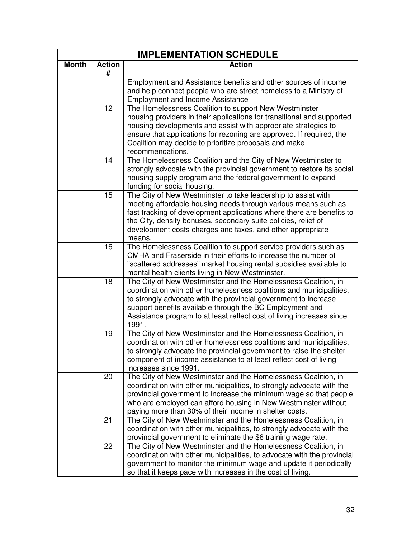|              |                    | <b>IMPLEMENTATION SCHEDULE</b>                                                                                                                                                                                                                                                                                                                         |
|--------------|--------------------|--------------------------------------------------------------------------------------------------------------------------------------------------------------------------------------------------------------------------------------------------------------------------------------------------------------------------------------------------------|
| <b>Month</b> | <b>Action</b><br># | <b>Action</b>                                                                                                                                                                                                                                                                                                                                          |
|              |                    | Employment and Assistance benefits and other sources of income<br>and help connect people who are street homeless to a Ministry of<br><b>Employment and Income Assistance</b>                                                                                                                                                                          |
|              | 12                 | The Homelessness Coalition to support New Westminster<br>housing providers in their applications for transitional and supported<br>housing developments and assist with appropriate strategies to<br>ensure that applications for rezoning are approved. If required, the<br>Coalition may decide to prioritize proposals and make<br>recommendations. |
|              | 14                 | The Homelessness Coalition and the City of New Westminster to<br>strongly advocate with the provincial government to restore its social<br>housing supply program and the federal government to expand<br>funding for social housing.                                                                                                                  |
|              | 15                 | The City of New Westminster to take leadership to assist with<br>meeting affordable housing needs through various means such as<br>fast tracking of development applications where there are benefits to<br>the City, density bonuses, secondary suite policies, relief of<br>development costs charges and taxes, and other appropriate<br>means.     |
|              | 16                 | The Homelessness Coalition to support service providers such as<br>CMHA and Fraserside in their efforts to increase the number of<br>"scattered addresses" market housing rental subsidies available to<br>mental health clients living in New Westminster.                                                                                            |
|              | 18                 | The City of New Westminster and the Homelessness Coalition, in<br>coordination with other homelessness coalitions and municipalities,<br>to strongly advocate with the provincial government to increase<br>support benefits available through the BC Employment and<br>Assistance program to at least reflect cost of living increases since<br>1991. |
|              | 19                 | The City of New Westminster and the Homelessness Coalition, in<br>coordination with other homelessness coalitions and municipalities,<br>to strongly advocate the provincial government to raise the shelter<br>component of income assistance to at least reflect cost of living<br>increases since 1991.                                             |
|              | 20                 | The City of New Westminster and the Homelessness Coalition, in<br>coordination with other municipalities, to strongly advocate with the<br>provincial government to increase the minimum wage so that people<br>who are employed can afford housing in New Westminster without<br>paying more than 30% of their income in shelter costs.               |
|              | 21                 | The City of New Westminster and the Homelessness Coalition, in<br>coordination with other municipalities, to strongly advocate with the<br>provincial government to eliminate the \$6 training wage rate.                                                                                                                                              |
|              | 22                 | The City of New Westminster and the Homelessness Coalition, in<br>coordination with other municipalities, to advocate with the provincial<br>government to monitor the minimum wage and update it periodically<br>so that it keeps pace with increases in the cost of living.                                                                          |